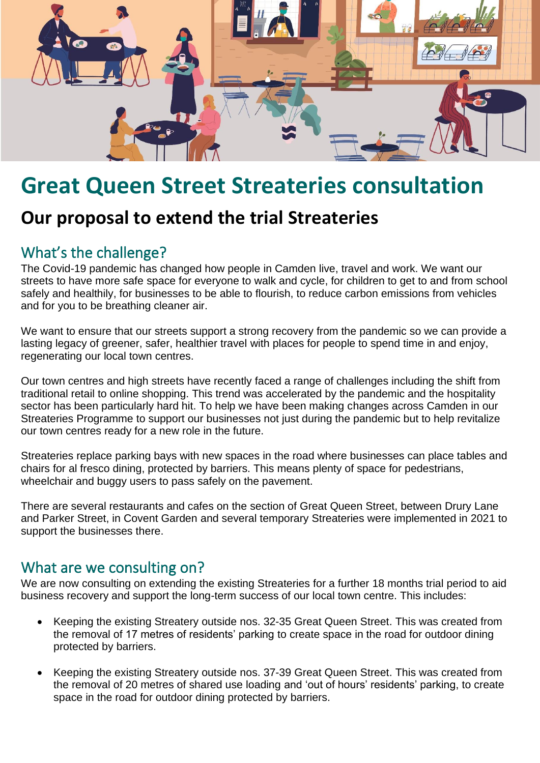

## **Great Queen Street Streateries consultation**

## **Our proposal to extend the trial Streateries**

## What's the challenge?

The Covid-19 pandemic has changed how people in Camden live, travel and work. We want our streets to have more safe space for everyone to walk and cycle, for children to get to and from school safely and healthily, for businesses to be able to flourish, to reduce carbon emissions from vehicles and for you to be breathing cleaner air.

We want to ensure that our streets support a strong recovery from the pandemic so we can provide a lasting legacy of greener, safer, healthier travel with places for people to spend time in and enjoy, regenerating our local town centres.

Our town centres and high streets have recently faced a range of challenges including the shift from traditional retail to online shopping. This trend was accelerated by the pandemic and the hospitality sector has been particularly hard hit. To help we have been making changes across Camden in our Streateries Programme to support our businesses not just during the pandemic but to help revitalize our town centres ready for a new role in the future.

Streateries replace parking bays with new spaces in the road where businesses can place tables and chairs for al fresco dining, protected by barriers. This means plenty of space for pedestrians, wheelchair and buggy users to pass safely on the pavement.

There are several restaurants and cafes on the section of Great Queen Street, between Drury Lane and Parker Street, in Covent Garden and several temporary Streateries were implemented in 2021 to support the businesses there.

## What are we consulting on?

We are now consulting on extending the existing Streateries for a further 18 months trial period to aid business recovery and support the long-term success of our local town centre. This includes:

- Keeping the existing Streatery outside nos. 32-35 Great Queen Street. This was created from the removal of 17 metres of residents' parking to create space in the road for outdoor dining protected by barriers.
- Keeping the existing Streatery outside nos. 37-39 Great Queen Street. This was created from the removal of 20 metres of shared use loading and 'out of hours' residents' parking, to create space in the road for outdoor dining protected by barriers.